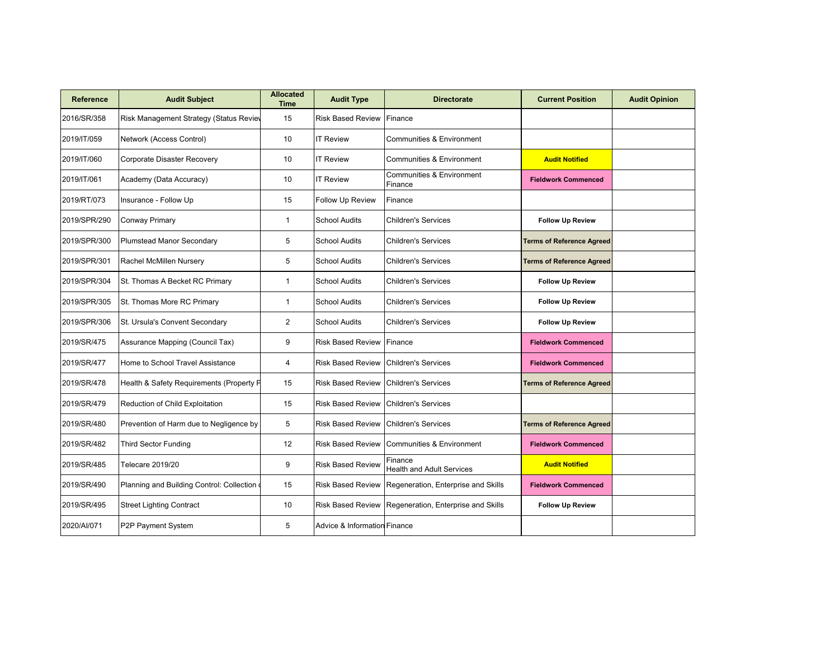| <b>Reference</b> | <b>Audit Subject</b>                         | <b>Allocated</b><br><b>Time</b> | <b>Audit Type</b>            | <b>Directorate</b>                          | <b>Current Position</b>          | <b>Audit Opinion</b> |
|------------------|----------------------------------------------|---------------------------------|------------------------------|---------------------------------------------|----------------------------------|----------------------|
| 2016/SR/358      | Risk Management Strategy (Status Reviev      | 15                              | <b>Risk Based Review</b>     | Finance                                     |                                  |                      |
| 2019/IT/059      | Network (Access Control)                     | 10                              | <b>IT Review</b>             | Communities & Environment                   |                                  |                      |
| 2019/IT/060      | Corporate Disaster Recovery                  | 10                              | <b>IT Review</b>             | <b>Communities &amp; Environment</b>        | <b>Audit Notified</b>            |                      |
| 2019/IT/061      | Academy (Data Accuracy)                      | 10                              | <b>IT Review</b>             | Communities & Environment<br>Finance        | <b>Fieldwork Commenced</b>       |                      |
| 2019/RT/073      | Insurance - Follow Up                        | 15                              | Follow Up Review             | Finance                                     |                                  |                      |
| 2019/SPR/290     | Conway Primary                               | $\mathbf{1}$                    | <b>School Audits</b>         | <b>Children's Services</b>                  | <b>Follow Up Review</b>          |                      |
| 2019/SPR/300     | <b>Plumstead Manor Secondary</b>             | 5                               | <b>School Audits</b>         | <b>Children's Services</b>                  | <b>Terms of Reference Agreed</b> |                      |
| 2019/SPR/301     | Rachel McMillen Nursery                      | 5                               | <b>School Audits</b>         | <b>Children's Services</b>                  | <b>Terms of Reference Agreed</b> |                      |
| 2019/SPR/304     | St. Thomas A Becket RC Primary               | $\mathbf{1}$                    | <b>School Audits</b>         | <b>Children's Services</b>                  | <b>Follow Up Review</b>          |                      |
| 2019/SPR/305     | St. Thomas More RC Primary                   | $\mathbf{1}$                    | <b>School Audits</b>         | <b>Children's Services</b>                  | <b>Follow Up Review</b>          |                      |
| 2019/SPR/306     | St. Ursula's Convent Secondary               | $\overline{2}$                  | <b>School Audits</b>         | <b>Children's Services</b>                  | <b>Follow Up Review</b>          |                      |
| 2019/SR/475      | Assurance Mapping (Council Tax)              | 9                               | <b>Risk Based Review</b>     | Finance                                     | <b>Fieldwork Commenced</b>       |                      |
| 2019/SR/477      | Home to School Travel Assistance             | $\overline{4}$                  | <b>Risk Based Review</b>     | <b>Children's Services</b>                  | <b>Fieldwork Commenced</b>       |                      |
| 2019/SR/478      | Health & Safety Requirements (Property P     | 15                              | <b>Risk Based Review</b>     | <b>Children's Services</b>                  | <b>Terms of Reference Agreed</b> |                      |
| 2019/SR/479      | Reduction of Child Exploitation              | 15                              | <b>Risk Based Review</b>     | <b>Children's Services</b>                  |                                  |                      |
| 2019/SR/480      | Prevention of Harm due to Negligence by      | 5                               | <b>Risk Based Review</b>     | <b>Children's Services</b>                  | <b>Terms of Reference Agreed</b> |                      |
| 2019/SR/482      | Third Sector Funding                         | 12                              | <b>Risk Based Review</b>     | Communities & Environment                   | <b>Fieldwork Commenced</b>       |                      |
| 2019/SR/485      | Telecare 2019/20                             | 9                               | <b>Risk Based Review</b>     | Finance<br><b>Health and Adult Services</b> | <b>Audit Notified</b>            |                      |
| 2019/SR/490      | Planning and Building Control: Collection of | 15                              | <b>Risk Based Review</b>     | Regeneration, Enterprise and Skills         | <b>Fieldwork Commenced</b>       |                      |
| 2019/SR/495      | <b>Street Lighting Contract</b>              | 10                              | <b>Risk Based Review</b>     | Regeneration, Enterprise and Skills         | <b>Follow Up Review</b>          |                      |
| 2020/AI/071      | P2P Payment System                           | 5                               | Advice & Information Finance |                                             |                                  |                      |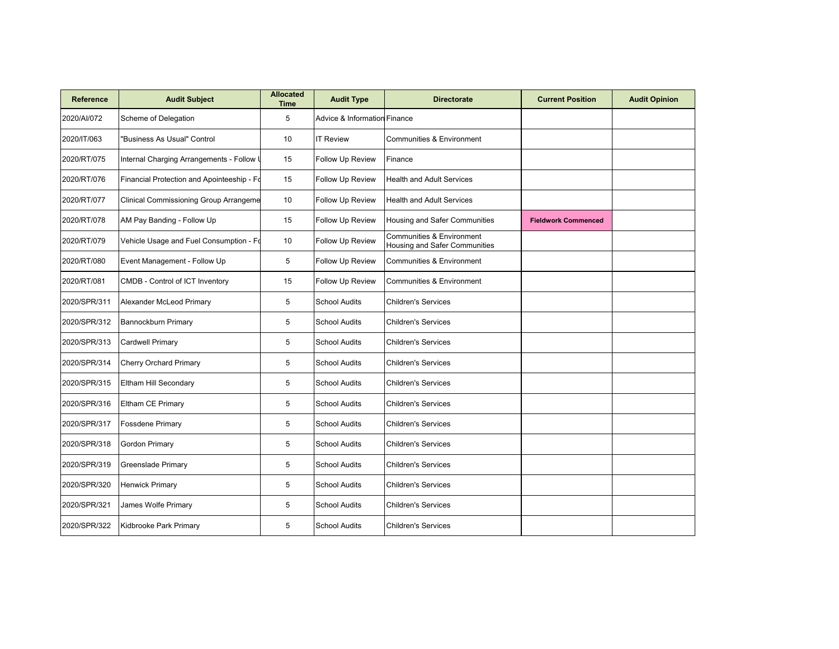| <b>Reference</b> | <b>Audit Subject</b>                          | <b>Allocated</b><br><b>Time</b> | <b>Audit Type</b>                       | <b>Directorate</b>                                         | <b>Current Position</b>    | <b>Audit Opinion</b> |
|------------------|-----------------------------------------------|---------------------------------|-----------------------------------------|------------------------------------------------------------|----------------------------|----------------------|
| 2020/AI/072      | Scheme of Delegation                          | 5                               | <b>Advice &amp; Information Finance</b> |                                                            |                            |                      |
| 2020/IT/063      | "Business As Usual" Control                   | 10                              | <b>IT Review</b>                        | <b>Communities &amp; Environment</b>                       |                            |                      |
| 2020/RT/075      | Internal Charging Arrangements - Follow U     | 15                              | Follow Up Review                        | Finance                                                    |                            |                      |
| 2020/RT/076      | Financial Protection and Apointeeship - Fo    | 15                              | Follow Up Review                        | <b>Health and Adult Services</b>                           |                            |                      |
| 2020/RT/077      | <b>Clinical Commissioning Group Arrangeme</b> | 10                              | Follow Up Review                        | <b>Health and Adult Services</b>                           |                            |                      |
| 2020/RT/078      | AM Pay Banding - Follow Up                    | 15                              | Follow Up Review                        | Housing and Safer Communities                              | <b>Fieldwork Commenced</b> |                      |
| 2020/RT/079      | Vehicle Usage and Fuel Consumption - Fo       | 10                              | Follow Up Review                        | Communities & Environment<br>Housing and Safer Communities |                            |                      |
| 2020/RT/080      | Event Management - Follow Up                  | 5                               | Follow Up Review                        | Communities & Environment                                  |                            |                      |
| 2020/RT/081      | CMDB - Control of ICT Inventory               | 15                              | Follow Up Review                        | Communities & Environment                                  |                            |                      |
| 2020/SPR/311     | Alexander McLeod Primary                      | 5                               | <b>School Audits</b>                    | <b>Children's Services</b>                                 |                            |                      |
| 2020/SPR/312     | <b>Bannockburn Primary</b>                    | 5                               | <b>School Audits</b>                    | <b>Children's Services</b>                                 |                            |                      |
| 2020/SPR/313     | Cardwell Primary                              | 5                               | <b>School Audits</b>                    | <b>Children's Services</b>                                 |                            |                      |
| 2020/SPR/314     | <b>Cherry Orchard Primary</b>                 | 5                               | <b>School Audits</b>                    | <b>Children's Services</b>                                 |                            |                      |
| 2020/SPR/315     | Eltham Hill Secondary                         | 5                               | <b>School Audits</b>                    | <b>Children's Services</b>                                 |                            |                      |
| 2020/SPR/316     | Eltham CE Primary                             | 5                               | <b>School Audits</b>                    | <b>Children's Services</b>                                 |                            |                      |
| 2020/SPR/317     | <b>Fossdene Primary</b>                       | 5                               | <b>School Audits</b>                    | <b>Children's Services</b>                                 |                            |                      |
| 2020/SPR/318     | <b>Gordon Primary</b>                         | 5                               | <b>School Audits</b>                    | <b>Children's Services</b>                                 |                            |                      |
| 2020/SPR/319     | Greenslade Primary                            | 5                               | <b>School Audits</b>                    | <b>Children's Services</b>                                 |                            |                      |
| 2020/SPR/320     | Henwick Primary                               | 5                               | <b>School Audits</b>                    | <b>Children's Services</b>                                 |                            |                      |
| 2020/SPR/321     | James Wolfe Primary                           | 5                               | <b>School Audits</b>                    | <b>Children's Services</b>                                 |                            |                      |
| 2020/SPR/322     | Kidbrooke Park Primary                        | 5                               | <b>School Audits</b>                    | <b>Children's Services</b>                                 |                            |                      |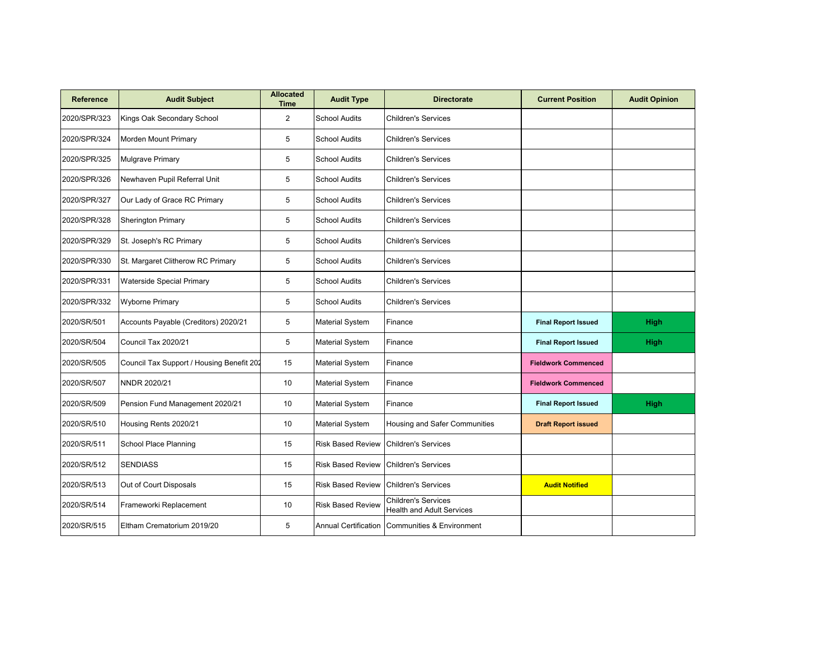| <b>Reference</b> | <b>Audit Subject</b>                      | <b>Allocated</b><br><b>Time</b> | <b>Audit Type</b>           | <b>Directorate</b>                                             | <b>Current Position</b>    | <b>Audit Opinion</b> |
|------------------|-------------------------------------------|---------------------------------|-----------------------------|----------------------------------------------------------------|----------------------------|----------------------|
| 2020/SPR/323     | Kings Oak Secondary School                | 2                               | <b>School Audits</b>        | <b>Children's Services</b>                                     |                            |                      |
| 2020/SPR/324     | Morden Mount Primary                      | 5                               | <b>School Audits</b>        | <b>Children's Services</b>                                     |                            |                      |
| 2020/SPR/325     | Mulgrave Primary                          | 5                               | <b>School Audits</b>        | <b>Children's Services</b>                                     |                            |                      |
| 2020/SPR/326     | Newhaven Pupil Referral Unit              | 5                               | <b>School Audits</b>        | <b>Children's Services</b>                                     |                            |                      |
| 2020/SPR/327     | Our Lady of Grace RC Primary              | 5                               | <b>School Audits</b>        | <b>Children's Services</b>                                     |                            |                      |
| 2020/SPR/328     | <b>Sherington Primary</b>                 | 5                               | <b>School Audits</b>        | <b>Children's Services</b>                                     |                            |                      |
| 2020/SPR/329     | St. Joseph's RC Primary                   | 5                               | <b>School Audits</b>        | <b>Children's Services</b>                                     |                            |                      |
| 2020/SPR/330     | St. Margaret Clitherow RC Primary         | 5                               | <b>School Audits</b>        | <b>Children's Services</b>                                     |                            |                      |
| 2020/SPR/331     | <b>Waterside Special Primary</b>          | 5                               | <b>School Audits</b>        | <b>Children's Services</b>                                     |                            |                      |
| 2020/SPR/332     | <b>Wyborne Primary</b>                    | 5                               | <b>School Audits</b>        | <b>Children's Services</b>                                     |                            |                      |
| 2020/SR/501      | Accounts Payable (Creditors) 2020/21      | 5                               | <b>Material System</b>      | Finance                                                        | <b>Final Report Issued</b> | <b>High</b>          |
| 2020/SR/504      | Council Tax 2020/21                       | 5                               | <b>Material System</b>      | Finance                                                        | <b>Final Report Issued</b> | High                 |
| 2020/SR/505      | Council Tax Support / Housing Benefit 202 | 15                              | <b>Material System</b>      | Finance                                                        | <b>Fieldwork Commenced</b> |                      |
| 2020/SR/507      | NNDR 2020/21                              | 10                              | <b>Material System</b>      | Finance                                                        | <b>Fieldwork Commenced</b> |                      |
| 2020/SR/509      | Pension Fund Management 2020/21           | 10                              | <b>Material System</b>      | Finance                                                        | <b>Final Report Issued</b> | High                 |
| 2020/SR/510      | Housing Rents 2020/21                     | 10                              | <b>Material System</b>      | Housing and Safer Communities                                  | <b>Draft Report issued</b> |                      |
| 2020/SR/511      | <b>School Place Planning</b>              | 15                              | <b>Risk Based Review</b>    | <b>Children's Services</b>                                     |                            |                      |
| 2020/SR/512      | <b>SENDIASS</b>                           | 15                              | <b>Risk Based Review</b>    | <b>Children's Services</b>                                     |                            |                      |
| 2020/SR/513      | Out of Court Disposals                    | 15                              | <b>Risk Based Review</b>    | <b>Children's Services</b>                                     | <b>Audit Notified</b>      |                      |
| 2020/SR/514      | Frameworki Replacement                    | 10                              | <b>Risk Based Review</b>    | <b>Children's Services</b><br><b>Health and Adult Services</b> |                            |                      |
| 2020/SR/515      | Eltham Crematorium 2019/20                | 5                               | <b>Annual Certification</b> | <b>Communities &amp; Environment</b>                           |                            |                      |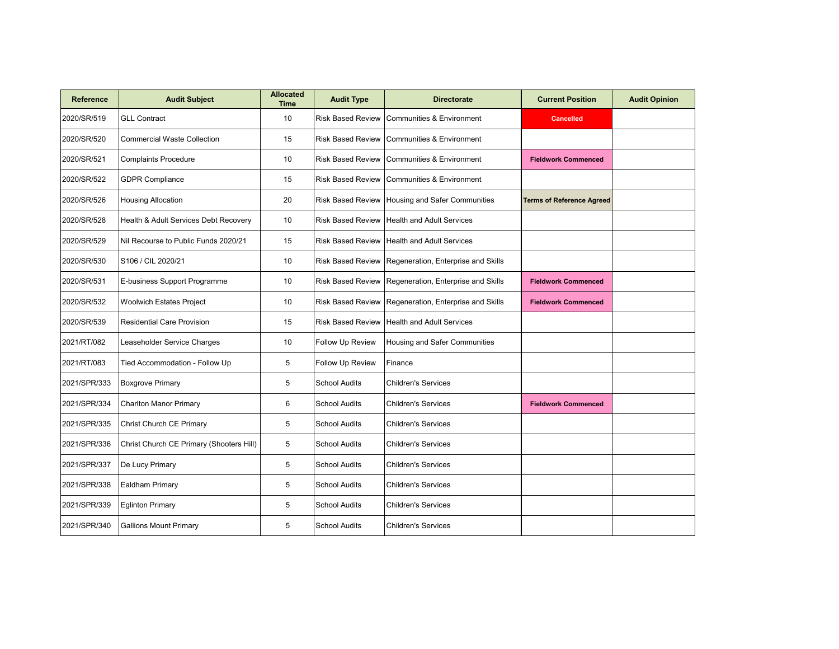| <b>Reference</b> | <b>Audit Subject</b>                     | <b>Allocated</b><br><b>Time</b> | <b>Audit Type</b>        | <b>Directorate</b>                  | <b>Current Position</b>          | <b>Audit Opinion</b> |
|------------------|------------------------------------------|---------------------------------|--------------------------|-------------------------------------|----------------------------------|----------------------|
| 2020/SR/519      | <b>GLL Contract</b>                      | 10                              | <b>Risk Based Review</b> | Communities & Environment           | <b>Cancelled</b>                 |                      |
| 2020/SR/520      | <b>Commercial Waste Collection</b>       | 15                              | <b>Risk Based Review</b> | Communities & Environment           |                                  |                      |
| 2020/SR/521      | <b>Complaints Procedure</b>              | 10                              | <b>Risk Based Review</b> | Communities & Environment           | <b>Fieldwork Commenced</b>       |                      |
| 2020/SR/522      | <b>GDPR Compliance</b>                   | 15                              | <b>Risk Based Review</b> | Communities & Environment           |                                  |                      |
| 2020/SR/526      | <b>Housing Allocation</b>                | 20                              | <b>Risk Based Review</b> | Housing and Safer Communities       | <b>Terms of Reference Agreed</b> |                      |
| 2020/SR/528      | Health & Adult Services Debt Recovery    | 10                              | <b>Risk Based Review</b> | <b>Health and Adult Services</b>    |                                  |                      |
| 2020/SR/529      | Nil Recourse to Public Funds 2020/21     | 15                              | <b>Risk Based Review</b> | <b>Health and Adult Services</b>    |                                  |                      |
| 2020/SR/530      | S106 / CIL 2020/21                       | 10                              | <b>Risk Based Review</b> | Regeneration, Enterprise and Skills |                                  |                      |
| 2020/SR/531      | E-business Support Programme             | 10                              | <b>Risk Based Review</b> | Regeneration, Enterprise and Skills | <b>Fieldwork Commenced</b>       |                      |
| 2020/SR/532      | <b>Woolwich Estates Project</b>          | 10                              | <b>Risk Based Review</b> | Regeneration, Enterprise and Skills | <b>Fieldwork Commenced</b>       |                      |
| 2020/SR/539      | <b>Residential Care Provision</b>        | 15                              | <b>Risk Based Review</b> | <b>Health and Adult Services</b>    |                                  |                      |
| 2021/RT/082      | Leaseholder Service Charges              | 10                              | Follow Up Review         | Housing and Safer Communities       |                                  |                      |
| 2021/RT/083      | Tied Accommodation - Follow Up           | 5                               | Follow Up Review         | Finance                             |                                  |                      |
| 2021/SPR/333     | <b>Boxgrove Primary</b>                  | 5                               | <b>School Audits</b>     | <b>Children's Services</b>          |                                  |                      |
| 2021/SPR/334     | <b>Charlton Manor Primary</b>            | 6                               | <b>School Audits</b>     | <b>Children's Services</b>          | <b>Fieldwork Commenced</b>       |                      |
| 2021/SPR/335     | Christ Church CE Primary                 | 5                               | <b>School Audits</b>     | <b>Children's Services</b>          |                                  |                      |
| 2021/SPR/336     | Christ Church CE Primary (Shooters Hill) | 5                               | <b>School Audits</b>     | <b>Children's Services</b>          |                                  |                      |
| 2021/SPR/337     | De Lucy Primary                          | 5                               | <b>School Audits</b>     | <b>Children's Services</b>          |                                  |                      |
| 2021/SPR/338     | Ealdham Primary                          | 5                               | <b>School Audits</b>     | <b>Children's Services</b>          |                                  |                      |
| 2021/SPR/339     | <b>Eglinton Primary</b>                  | 5                               | <b>School Audits</b>     | <b>Children's Services</b>          |                                  |                      |
| 2021/SPR/340     | <b>Gallions Mount Primary</b>            | 5                               | <b>School Audits</b>     | <b>Children's Services</b>          |                                  |                      |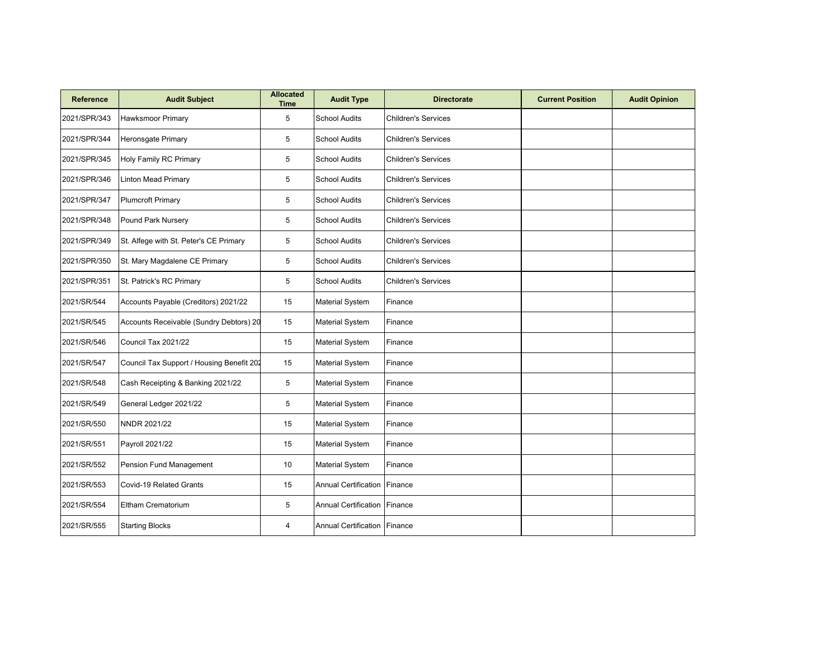| <b>Reference</b> | <b>Audit Subject</b>                      | <b>Allocated</b><br><b>Time</b> | <b>Audit Type</b>              | <b>Directorate</b>         | <b>Current Position</b> | <b>Audit Opinion</b> |
|------------------|-------------------------------------------|---------------------------------|--------------------------------|----------------------------|-------------------------|----------------------|
| 2021/SPR/343     | <b>Hawksmoor Primary</b>                  | 5                               | <b>School Audits</b>           | <b>Children's Services</b> |                         |                      |
| 2021/SPR/344     | <b>Heronsgate Primary</b>                 | 5                               | <b>School Audits</b>           | <b>Children's Services</b> |                         |                      |
| 2021/SPR/345     | <b>Holy Family RC Primary</b>             | 5                               | <b>School Audits</b>           | <b>Children's Services</b> |                         |                      |
| 2021/SPR/346     | <b>Linton Mead Primary</b>                | 5                               | <b>School Audits</b>           | <b>Children's Services</b> |                         |                      |
| 2021/SPR/347     | <b>Plumcroft Primary</b>                  | 5                               | <b>School Audits</b>           | <b>Children's Services</b> |                         |                      |
| 2021/SPR/348     | Pound Park Nursery                        | 5                               | <b>School Audits</b>           | <b>Children's Services</b> |                         |                      |
| 2021/SPR/349     | St. Alfege with St. Peter's CE Primary    | 5                               | <b>School Audits</b>           | <b>Children's Services</b> |                         |                      |
| 2021/SPR/350     | St. Mary Magdalene CE Primary             | 5                               | <b>School Audits</b>           | <b>Children's Services</b> |                         |                      |
| 2021/SPR/351     | St. Patrick's RC Primary                  | 5                               | <b>School Audits</b>           | <b>Children's Services</b> |                         |                      |
| 2021/SR/544      | Accounts Payable (Creditors) 2021/22      | 15                              | <b>Material System</b>         | Finance                    |                         |                      |
| 2021/SR/545      | Accounts Receivable (Sundry Debtors) 20   | 15                              | <b>Material System</b>         | Finance                    |                         |                      |
| 2021/SR/546      | Council Tax 2021/22                       | 15                              | <b>Material System</b>         | Finance                    |                         |                      |
| 2021/SR/547      | Council Tax Support / Housing Benefit 202 | 15                              | <b>Material System</b>         | Finance                    |                         |                      |
| 2021/SR/548      | Cash Receipting & Banking 2021/22         | 5                               | Material System                | Finance                    |                         |                      |
| 2021/SR/549      | General Ledger 2021/22                    | 5                               | <b>Material System</b>         | Finance                    |                         |                      |
| 2021/SR/550      | NNDR 2021/22                              | 15                              | Material System                | Finance                    |                         |                      |
| 2021/SR/551      | Payroll 2021/22                           | 15                              | <b>Material System</b>         | Finance                    |                         |                      |
| 2021/SR/552      | Pension Fund Management                   | 10                              | <b>Material System</b>         | Finance                    |                         |                      |
| 2021/SR/553      | Covid-19 Related Grants                   | 15                              | <b>Annual Certification</b>    | Finance                    |                         |                      |
| 2021/SR/554      | Eltham Crematorium                        | 5                               | Annual Certification           | Finance                    |                         |                      |
| 2021/SR/555      | <b>Starting Blocks</b>                    | 4                               | Annual Certification   Finance |                            |                         |                      |